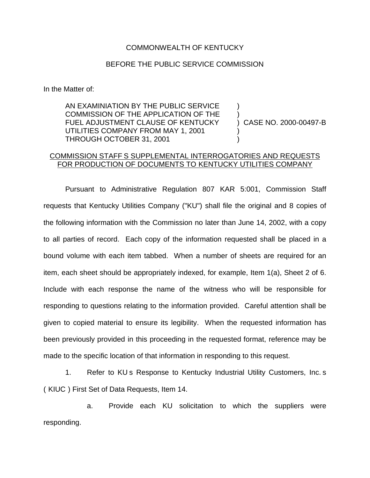## COMMONWEALTH OF KENTUCKY

## BEFORE THE PUBLIC SERVICE COMMISSION

In the Matter of:

AN EXAMINIATION BY THE PUBLIC SERVICE COMMISSION OF THE APPLICATION OF THE FUEL ADJUSTMENT CLAUSE OF KENTUCKY UTILITIES COMPANY FROM MAY 1, 2001 THROUGH OCTOBER 31, 2001

) CASE NO. 2000-00497-B

) )

) )

## COMMISSION STAFF S SUPPLEMENTAL INTERROGATORIES AND REQUESTS FOR PRODUCTION OF DOCUMENTS TO KENTUCKY UTILITIES COMPANY

Pursuant to Administrative Regulation 807 KAR 5:001, Commission Staff requests that Kentucky Utilities Company ("KU") shall file the original and 8 copies of the following information with the Commission no later than June 14, 2002, with a copy to all parties of record. Each copy of the information requested shall be placed in a bound volume with each item tabbed. When a number of sheets are required for an item, each sheet should be appropriately indexed, for example, Item 1(a), Sheet 2 of 6. Include with each response the name of the witness who will be responsible for responding to questions relating to the information provided. Careful attention shall be given to copied material to ensure its legibility. When the requested information has been previously provided in this proceeding in the requested format, reference may be made to the specific location of that information in responding to this request.

1. Refer to KU s Response to Kentucky Industrial Utility Customers, Inc. s ( KIUC ) First Set of Data Requests, Item 14.

a. Provide each KU solicitation to which the suppliers were responding.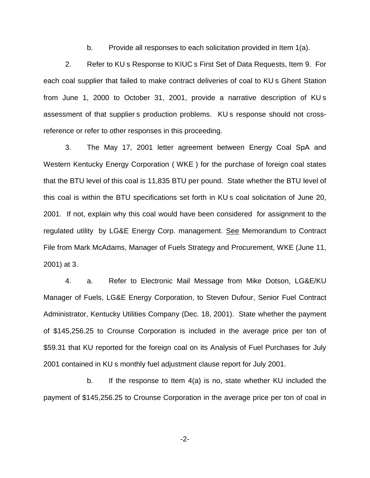b. Provide all responses to each solicitation provided in Item 1(a).

2. Refer to KU s Response to KIUC s First Set of Data Requests, Item 9. For each coal supplier that failed to make contract deliveries of coal to KU s Ghent Station from June 1, 2000 to October 31, 2001, provide a narrative description of KU s assessment of that supplier s production problems. KU s response should not crossreference or refer to other responses in this proceeding.

3. The May 17, 2001 letter agreement between Energy Coal SpA and Western Kentucky Energy Corporation ( WKE ) for the purchase of foreign coal states that the BTU level of this coal is 11,835 BTU per pound. State whether the BTU level of this coal is within the BTU specifications set forth in KU s coal solicitation of June 20, 2001. If not, explain why this coal would have been considered for assignment to the regulated utility by LG&E Energy Corp. management. See Memorandum to Contract File from Mark McAdams, Manager of Fuels Strategy and Procurement, WKE (June 11, 2001) at 3.

4. a. Refer to Electronic Mail Message from Mike Dotson, LG&E/KU Manager of Fuels, LG&E Energy Corporation, to Steven Dufour, Senior Fuel Contract Administrator, Kentucky Utilities Company (Dec. 18, 2001). State whether the payment of \$145,256.25 to Crounse Corporation is included in the average price per ton of \$59.31 that KU reported for the foreign coal on its Analysis of Fuel Purchases for July 2001 contained in KU s monthly fuel adjustment clause report for July 2001.

b. If the response to Item 4(a) is no, state whether KU included the payment of \$145,256.25 to Crounse Corporation in the average price per ton of coal in

-2-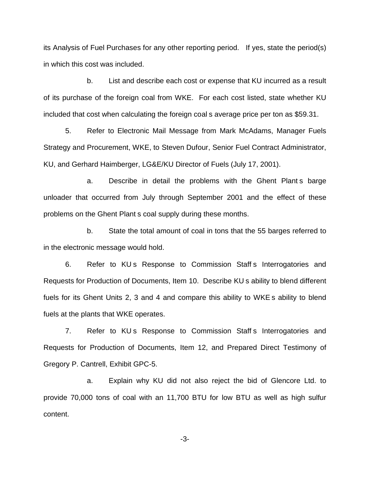its Analysis of Fuel Purchases for any other reporting period. If yes, state the period(s) in which this cost was included.

b. List and describe each cost or expense that KU incurred as a result of its purchase of the foreign coal from WKE. For each cost listed, state whether KU included that cost when calculating the foreign coal s average price per ton as \$59.31.

5. Refer to Electronic Mail Message from Mark McAdams, Manager Fuels Strategy and Procurement, WKE, to Steven Dufour, Senior Fuel Contract Administrator, KU, and Gerhard Haimberger, LG&E/KU Director of Fuels (July 17, 2001).

a. Describe in detail the problems with the Ghent Plant s barge unloader that occurred from July through September 2001 and the effect of these problems on the Ghent Plant s coal supply during these months.

b. State the total amount of coal in tons that the 55 barges referred to in the electronic message would hold.

6. Refer to KU s Response to Commission Staff s Interrogatories and Requests for Production of Documents, Item 10. Describe KU s ability to blend different fuels for its Ghent Units 2, 3 and 4 and compare this ability to WKE s ability to blend fuels at the plants that WKE operates.

7. Refer to KU s Response to Commission Staff s Interrogatories and Requests for Production of Documents, Item 12, and Prepared Direct Testimony of Gregory P. Cantrell, Exhibit GPC-5.

a. Explain why KU did not also reject the bid of Glencore Ltd. to provide 70,000 tons of coal with an 11,700 BTU for low BTU as well as high sulfur content.

-3-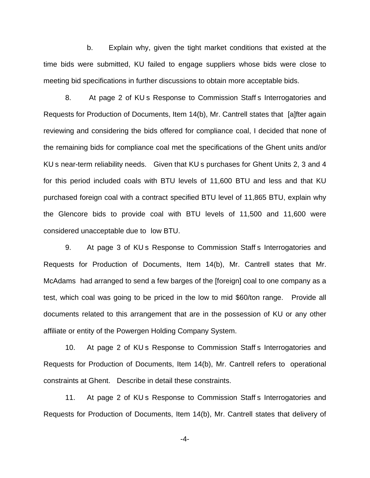b. Explain why, given the tight market conditions that existed at the time bids were submitted, KU failed to engage suppliers whose bids were close to meeting bid specifications in further discussions to obtain more acceptable bids.

8. At page 2 of KU s Response to Commission Staff s Interrogatories and Requests for Production of Documents, Item 14(b), Mr. Cantrell states that [a]fter again reviewing and considering the bids offered for compliance coal, I decided that none of the remaining bids for compliance coal met the specifications of the Ghent units and/or KU s near-term reliability needs. Given that KU s purchases for Ghent Units 2, 3 and 4 for this period included coals with BTU levels of 11,600 BTU and less and that KU purchased foreign coal with a contract specified BTU level of 11,865 BTU, explain why the Glencore bids to provide coal with BTU levels of 11,500 and 11,600 were considered unacceptable due to low BTU.

9. At page 3 of KU s Response to Commission Staff s Interrogatories and Requests for Production of Documents, Item 14(b), Mr. Cantrell states that Mr. McAdams had arranged to send a few barges of the [foreign] coal to one company as a test, which coal was going to be priced in the low to mid \$60/ton range. Provide all documents related to this arrangement that are in the possession of KU or any other affiliate or entity of the Powergen Holding Company System.

10. At page 2 of KU s Response to Commission Staff s Interrogatories and Requests for Production of Documents, Item 14(b), Mr. Cantrell refers to operational constraints at Ghent. Describe in detail these constraints.

11. At page 2 of KU s Response to Commission Staff s Interrogatories and Requests for Production of Documents, Item 14(b), Mr. Cantrell states that delivery of

-4-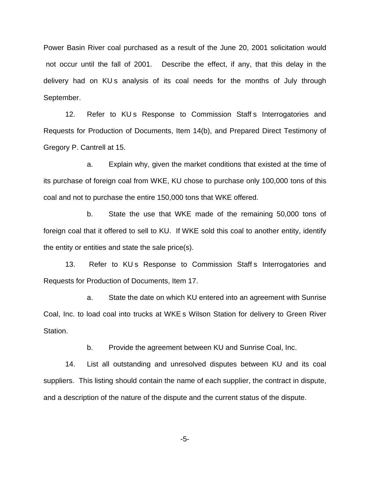Power Basin River coal purchased as a result of the June 20, 2001 solicitation would not occur until the fall of 2001. Describe the effect, if any, that this delay in the delivery had on KU<sub>s</sub> analysis of its coal needs for the months of July through September.

12. Refer to KUs Response to Commission Staff s Interrogatories and Requests for Production of Documents, Item 14(b), and Prepared Direct Testimony of Gregory P. Cantrell at 15.

a. Explain why, given the market conditions that existed at the time of its purchase of foreign coal from WKE, KU chose to purchase only 100,000 tons of this coal and not to purchase the entire 150,000 tons that WKE offered.

b. State the use that WKE made of the remaining 50,000 tons of foreign coal that it offered to sell to KU. If WKE sold this coal to another entity, identify the entity or entities and state the sale price(s).

13. Refer to KUs Response to Commission Staff s Interrogatories and Requests for Production of Documents, Item 17.

a. State the date on which KU entered into an agreement with Sunrise Coal, Inc. to load coal into trucks at WKE s Wilson Station for delivery to Green River Station.

b. Provide the agreement between KU and Sunrise Coal, Inc.

14. List all outstanding and unresolved disputes between KU and its coal suppliers. This listing should contain the name of each supplier, the contract in dispute, and a description of the nature of the dispute and the current status of the dispute.

-5-